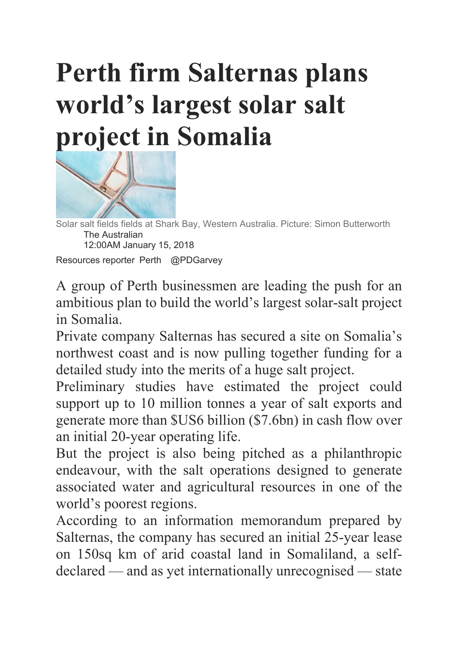## **Perth firm Salternas plans world's largest solar salt project in Somalia**



Solar salt fields fields at Shark Bay, Western Australia. Picture: Simon Butterworth The Australian 12:00AM January 15, 2018 Resources reporter Perth @PDGarvey

A group of Perth businessmen are leading the push for an ambitious plan to build the world's largest solar-salt project in Somalia.

Private company Salternas has secured a site on Somalia's northwest coast and is now pulling together funding for a detailed study into the merits of a huge salt project.

Preliminary studies have estimated the project could support up to 10 million tonnes a year of salt exports and generate more than \$US6 billion (\$7.6bn) in cash flow over an initial 20-year operating life.

But the project is also being pitched as a philanthropic endeavour, with the salt operations designed to generate associated water and agricultural resources in one of the world's poorest regions.

According to an information memorandum prepared by Salternas, the company has secured an initial 25-year lease on 150sq km of arid coastal land in Somaliland, a selfdeclared — and as yet internationally unrecognised — state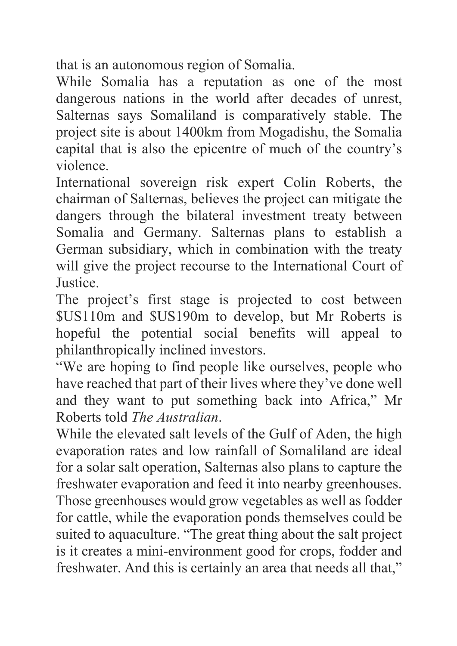that is an autonomous region of Somalia.

While Somalia has a reputation as one of the most dangerous nations in the world after decades of unrest, Salternas says Somaliland is comparatively stable. The project site is about 1400km from Mogadishu, the Somalia capital that is also the epicentre of much of the country's violence.

International sovereign risk expert Colin Roberts, the chairman of Salternas, believes the project can mitigate the dangers through the bilateral investment treaty between Somalia and Germany. Salternas plans to establish a German subsidiary, which in combination with the treaty will give the project recourse to the International Court of **Justice** 

The project's first stage is projected to cost between \$US110m and \$US190m to develop, but Mr Roberts is hopeful the potential social benefits will appeal to philanthropically inclined investors.

"We are hoping to find people like ourselves, people who have reached that part of their lives where they've done well and they want to put something back into Africa," Mr Roberts told *The Australian*.

While the elevated salt levels of the Gulf of Aden, the high evaporation rates and low rainfall of Somaliland are ideal for a solar salt operation, Salternas also plans to capture the freshwater evaporation and feed it into nearby greenhouses. Those greenhouses would grow vegetables as well as fodder for cattle, while the evaporation ponds themselves could be suited to aquaculture. "The great thing about the salt project is it creates a mini-environment good for crops, fodder and freshwater. And this is certainly an area that needs all that,"